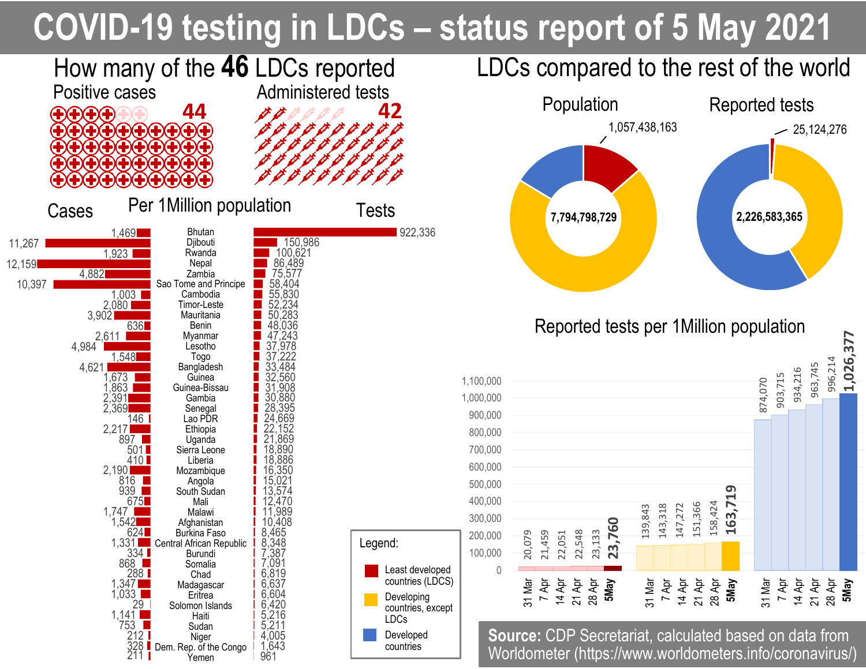## **COVID-19 testing in LDCs – status report of 5 May 2021**



963,745

14 Apr 21 Apr 28 Apr

**5May**

996,214

**1,026,377**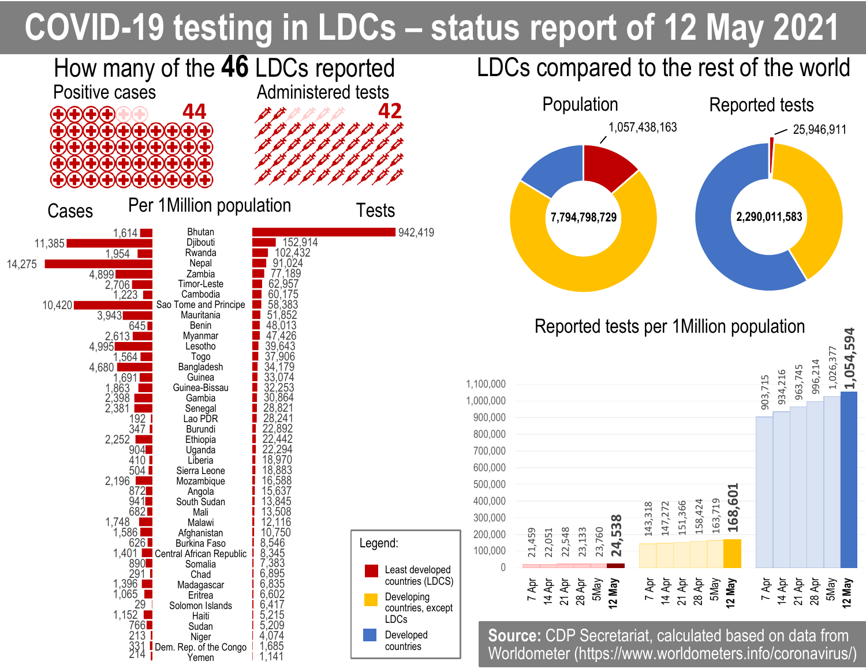# **COVID-19 testing in LDCs – status report of 12 May 2021**



996,214

1,026,377

5May **12 May**

**1,054,594**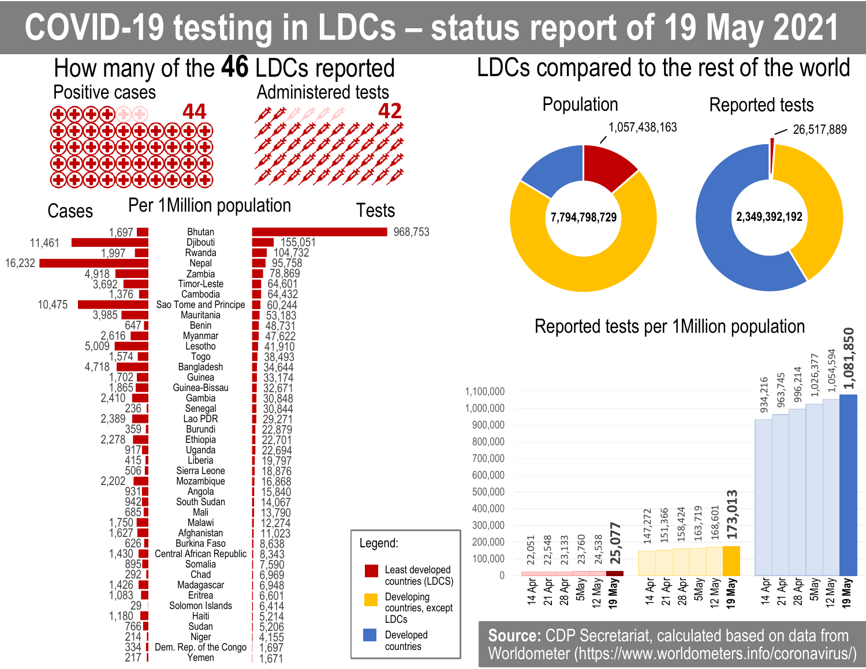# **COVID-19 testing in LDCs – status report of 19 May 2021**



**1,081,850**

**19 May**